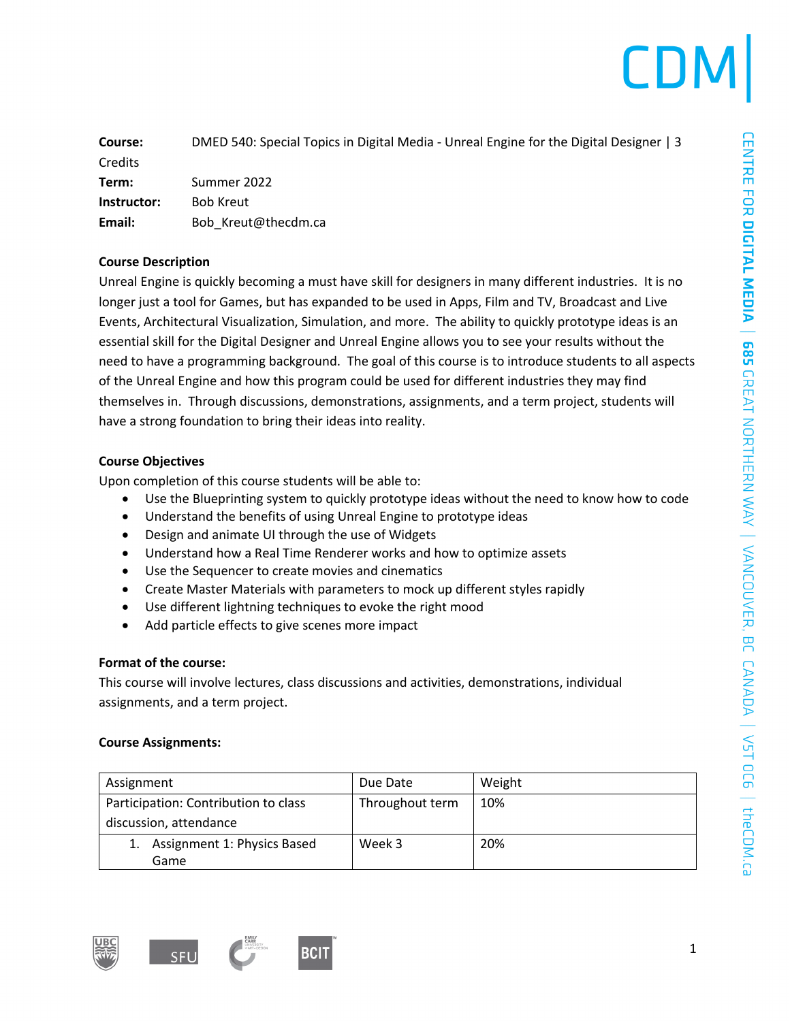|  | LDM |
|--|-----|
|  |     |

| Course:        | DMED 540: Special Topics in Digital Media - Unreal Engine for the Digital Designer   3 |
|----------------|----------------------------------------------------------------------------------------|
| <b>Credits</b> |                                                                                        |
| Term:          | Summer 2022                                                                            |
| Instructor:    | <b>Bob Kreut</b>                                                                       |
| Email:         | Bob Kreut@thecdm.ca                                                                    |

### **Course Description**

Unreal Engine is quickly becoming a must have skill for designers in many different industries. It is no longer just a tool for Games, but has expanded to be used in Apps, Film and TV, Broadcast and Live Events, Architectural Visualization, Simulation, and more. The ability to quickly prototype ideas is an essential skill for the Digital Designer and Unreal Engine allows you to see your results without the need to have a programming background. The goal of this course is to introduce students to all aspects of the Unreal Engine and how this program could be used for different industries they may find themselves in. Through discussions, demonstrations, assignments, and a term project, students will have a strong foundation to bring their ideas into reality.

### **Course Objectives**

Upon completion of this course students will be able to:

- Use the Blueprinting system to quickly prototype ideas without the need to know how to code
- Understand the benefits of using Unreal Engine to prototype ideas
- Design and animate UI through the use of Widgets
- Understand how a Real Time Renderer works and how to optimize assets
- Use the Sequencer to create movies and cinematics
- Create Master Materials with parameters to mock up different styles rapidly
- Use different lightning techniques to evoke the right mood
- Add particle effects to give scenes more impact

### **Format of the course:**

This course will involve lectures, class discussions and activities, demonstrations, individual assignments, and a term project.

### **Course Assignments:**

| Assignment                           | Due Date        | Weight |
|--------------------------------------|-----------------|--------|
| Participation: Contribution to class | Throughout term | 10%    |
| discussion, attendance               |                 |        |
| Assignment 1: Physics Based          | Week 3          | 20%    |
| Game                                 |                 |        |





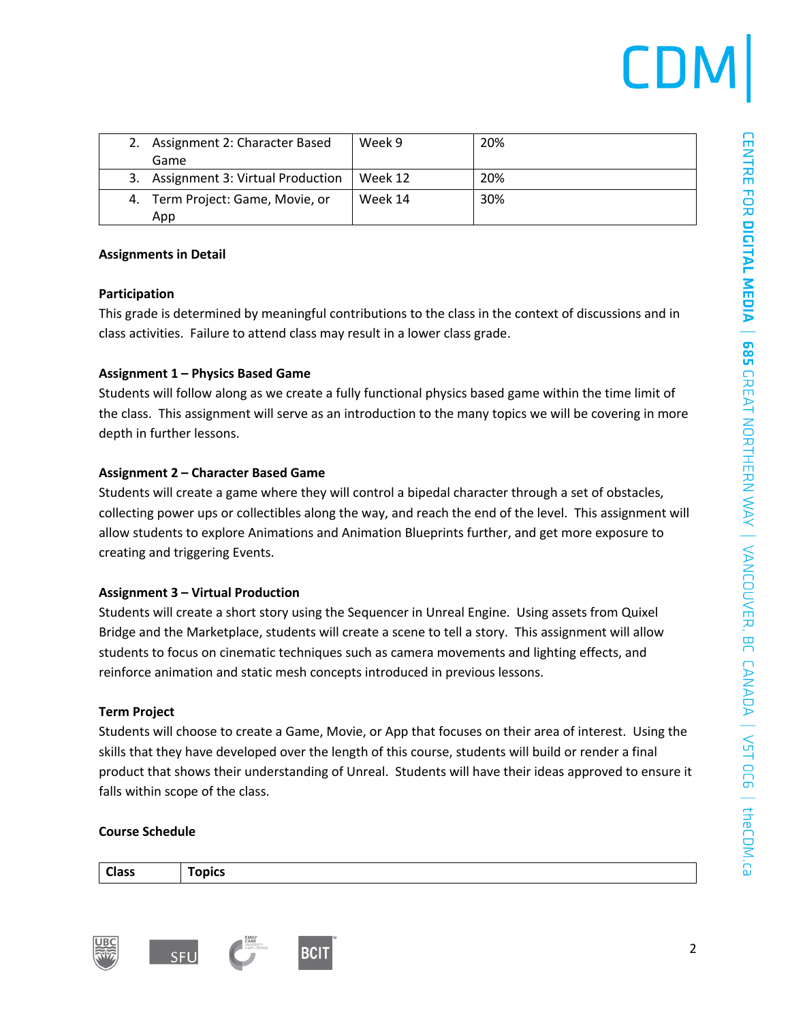| 2. Assignment 2: Character Based    | Week 9  | 20% |  |
|-------------------------------------|---------|-----|--|
| Game                                |         |     |  |
| 3. Assignment 3: Virtual Production | Week 12 | 20% |  |
| 4. Term Project: Game, Movie, or    | Week 14 | 30% |  |
| App                                 |         |     |  |

### **Assignments in Detail**

### **Participation**

This grade is determined by meaningful contributions to the class in the context of discussions and in class activities. Failure to attend class may result in a lower class grade.

### **Assignment 1 – Physics Based Game**

Students will follow along as we create a fully functional physics based game within the time limit of the class. This assignment will serve as an introduction to the many topics we will be covering in more depth in further lessons.

### **Assignment 2 – Character Based Game**

Students will create a game where they will control a bipedal character through a set of obstacles, collecting power ups or collectibles along the way, and reach the end of the level. This assignment will allow students to explore Animations and Animation Blueprints further, and get more exposure to creating and triggering Events.

### **Assignment 3 – Virtual Production**

Students will create a short story using the Sequencer in Unreal Engine. Using assets from Quixel Bridge and the Marketplace, students will create a scene to tell a story. This assignment will allow students to focus on cinematic techniques such as camera movements and lighting effects, and reinforce animation and static mesh concepts introduced in previous lessons.

### **Term Project**

Students will choose to create a Game, Movie, or App that focuses on their area of interest. Using the skills that they have developed over the length of this course, students will build or render a final product that shows their understanding of Unreal. Students will have their ideas approved to ensure it falls within scope of the class.

### **Course Schedule**

**Class Topics**



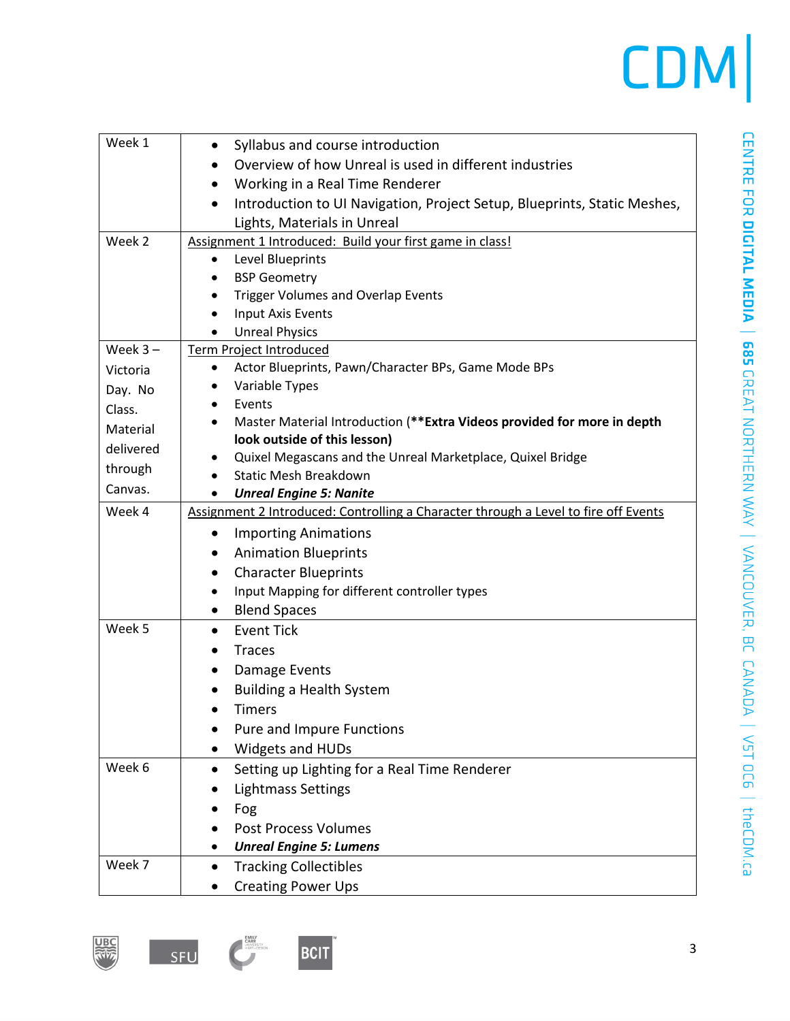## CDM

| Week 1     | Syllabus and course introduction<br>$\bullet$                                         |
|------------|---------------------------------------------------------------------------------------|
|            | Overview of how Unreal is used in different industries                                |
|            | Working in a Real Time Renderer<br>٠                                                  |
|            | Introduction to UI Navigation, Project Setup, Blueprints, Static Meshes,<br>$\bullet$ |
|            | Lights, Materials in Unreal                                                           |
| Week 2     | Assignment 1 Introduced: Build your first game in class!                              |
|            | Level Blueprints                                                                      |
|            | <b>BSP Geometry</b>                                                                   |
|            | <b>Trigger Volumes and Overlap Events</b>                                             |
|            | <b>Input Axis Events</b>                                                              |
|            | <b>Unreal Physics</b>                                                                 |
| Week $3 -$ | Term Project Introduced                                                               |
| Victoria   | Actor Blueprints, Pawn/Character BPs, Game Mode BPs<br>٠                              |
| Day. No    | Variable Types                                                                        |
| Class.     | Events                                                                                |
| Material   | Master Material Introduction (**Extra Videos provided for more in depth               |
| delivered  | look outside of this lesson)                                                          |
|            | Quixel Megascans and the Unreal Marketplace, Quixel Bridge                            |
| through    | <b>Static Mesh Breakdown</b>                                                          |
| Canvas.    | <b>Unreal Engine 5: Nanite</b>                                                        |
| Week 4     | Assignment 2 Introduced: Controlling a Character through a Level to fire off Events   |
|            | <b>Importing Animations</b><br>$\bullet$                                              |
|            | <b>Animation Blueprints</b>                                                           |
|            | <b>Character Blueprints</b><br>$\bullet$                                              |
|            | Input Mapping for different controller types<br>٠                                     |
|            | <b>Blend Spaces</b><br>$\bullet$                                                      |
| Week 5     | <b>Event Tick</b><br>$\bullet$                                                        |
|            | <b>Traces</b>                                                                         |
|            | Damage Events<br>٠                                                                    |
|            | <b>Building a Health System</b>                                                       |
|            | <b>Timers</b>                                                                         |
|            | Pure and Impure Functions                                                             |
|            | Widgets and HUDs                                                                      |
| Week 6     | Setting up Lighting for a Real Time Renderer<br>$\bullet$                             |
|            | <b>Lightmass Settings</b>                                                             |
|            |                                                                                       |
|            | Fog                                                                                   |
|            | <b>Post Process Volumes</b>                                                           |
|            | <b>Unreal Engine 5: Lumens</b>                                                        |
| Week 7     | <b>Tracking Collectibles</b><br>$\bullet$                                             |
|            | <b>Creating Power Ups</b>                                                             |





**EMIX**<br>UNIVESTIY<br>*UNIVESTIY*<br>ANTA DESIGN

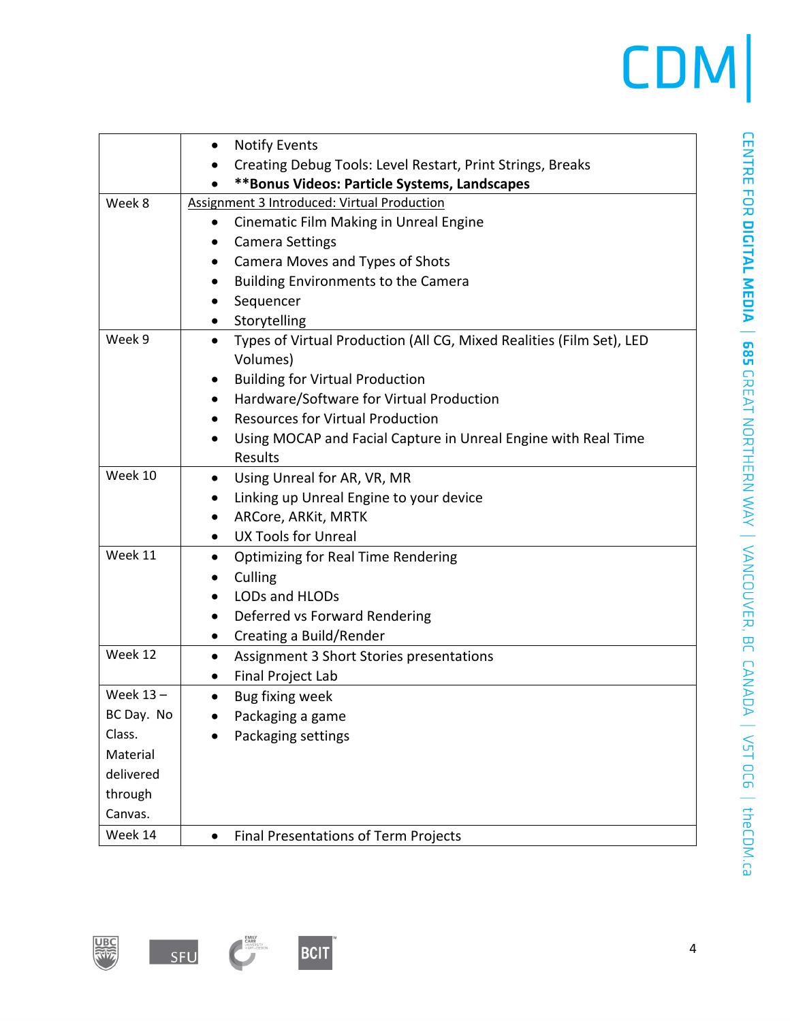### CDM

|            | <b>Notify Events</b><br>٠                                                         |
|------------|-----------------------------------------------------------------------------------|
|            | Creating Debug Tools: Level Restart, Print Strings, Breaks                        |
|            | **Bonus Videos: Particle Systems, Landscapes                                      |
| Week 8     | Assignment 3 Introduced: Virtual Production                                       |
|            | Cinematic Film Making in Unreal Engine<br>$\bullet$                               |
|            | <b>Camera Settings</b><br>٠                                                       |
|            | Camera Moves and Types of Shots                                                   |
|            | <b>Building Environments to the Camera</b>                                        |
|            | Sequencer                                                                         |
|            | Storytelling<br>$\bullet$                                                         |
| Week 9     | Types of Virtual Production (All CG, Mixed Realities (Film Set), LED<br>$\bullet$ |
|            | Volumes)                                                                          |
|            | <b>Building for Virtual Production</b>                                            |
|            | Hardware/Software for Virtual Production<br>$\bullet$                             |
|            | <b>Resources for Virtual Production</b>                                           |
|            | Using MOCAP and Facial Capture in Unreal Engine with Real Time<br>$\bullet$       |
|            | Results                                                                           |
| Week 10    | Using Unreal for AR, VR, MR<br>$\bullet$                                          |
|            | Linking up Unreal Engine to your device                                           |
|            | ARCore, ARKit, MRTK<br>٠                                                          |
|            | <b>UX Tools for Unreal</b><br>$\bullet$                                           |
| Week 11    | Optimizing for Real Time Rendering<br>٠                                           |
|            | Culling                                                                           |
|            | LODs and HLODs                                                                    |
|            | Deferred vs Forward Rendering<br>$\bullet$                                        |
|            | Creating a Build/Render<br>$\bullet$                                              |
| Week 12    | Assignment 3 Short Stories presentations<br>$\bullet$                             |
|            | Final Project Lab<br>٠                                                            |
| Week 13-   | Bug fixing week<br>$\bullet$                                                      |
| BC Day. No | Packaging a game                                                                  |
| Class.     | Packaging settings                                                                |
| Material   |                                                                                   |
| delivered  |                                                                                   |
| through    |                                                                                   |
| Canvas.    |                                                                                   |
| Week 14    | <b>Final Presentations of Term Projects</b><br>$\bullet$                          |





BCIT

**EMILY**<br>UNIVERSITY<br>AKT + DESIGN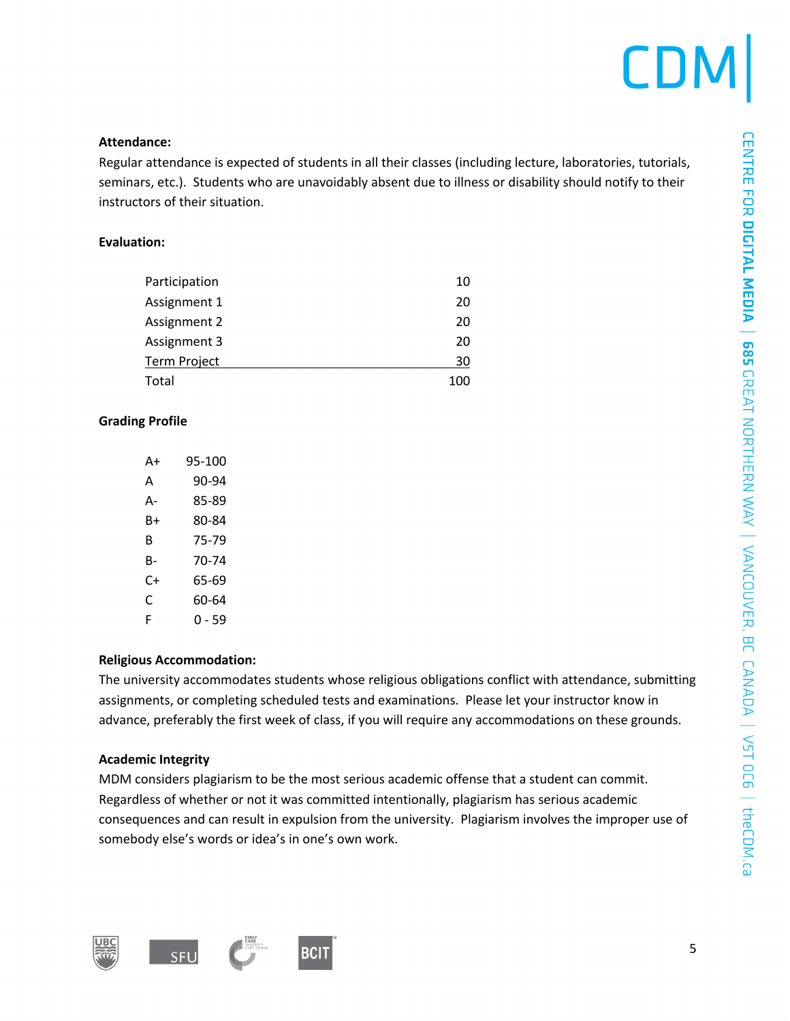# **CDM**

### **Attendance:**

Regular attendance is expected of students in all their classes (including lecture, laboratories, tutorials, seminars, etc.). Students who are unavoidably absent due to illness or disability should notify to their instructors of their situation.

### **Evaluation:**

| Participation       | 10  |
|---------------------|-----|
| Assignment 1        | 20  |
| Assignment 2        | 20  |
| Assignment 3        | 20  |
| <b>Term Project</b> | 30  |
| Total               | 100 |

### **Grading Profile**

| Δ+ | 95-100 |
|----|--------|
| А  | 90-94  |
| А- | 85-89  |
| B+ | 80-84  |
| В  | 75-79  |
| B- | 70-74  |
| C+ | 65-69  |
| C  | 60-64  |
| F  | ი - 59 |

### **Religious Accommodation:**

The university accommodates students whose religious obligations conflict with attendance, submitting assignments, or completing scheduled tests and examinations. Please let your instructor know in advance, preferably the first week of class, if you will require any accommodations on these grounds.

### **Academic Integrity**

MDM considers plagiarism to be the most serious academic offense that a student can commit. Regardless of whether or not it was committed intentionally, plagiarism has serious academic consequences and can result in expulsion from the university. Plagiarism involves the improper use of somebody else's words or idea's in one's own work.